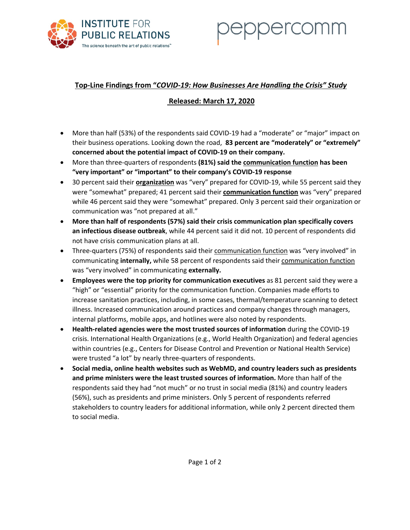

# Dercomm

## **Top-Line Findings from "***COVID-19: How Businesses Are Handling the Crisis" Study*

## **Released: March 17, 2020**

- More than half (53%) of the respondents said COVID-19 had a "moderate" or "major" impact on their business operations. Looking down the road, **83 percent are "moderately" or "extremely" concerned about the potential impact of COVID-19 on their company.**
- More than three-quarters of respondents **(81%) said the communication function has been "very important" or "important" to their company's COVID-19 response**
- 30 percent said their **organization** was "very" prepared for COVID-19, while 55 percent said they were "somewhat" prepared; 41 percent said their **communication function** was "very" prepared while 46 percent said they were "somewhat" prepared. Only 3 percent said their organization or communication was "not prepared at all."
- **More than half of respondents (57%) said their crisis communication plan specifically covers an infectious disease outbreak**, while 44 percent said it did not. 10 percent of respondents did not have crisis communication plans at all.
- Three-quarters (75%) of respondents said their communication function was "very involved" in communicating **internally,** while 58 percent of respondents said their communication function was "very involved" in communicating **externally.**
- **Employees were the top priority for communication executives** as 81 percent said they were a "high" or "essential" priority for the communication function. Companies made efforts to increase sanitation practices, including, in some cases, thermal/temperature scanning to detect illness. Increased communication around practices and company changes through managers, internal platforms, mobile apps, and hotlines were also noted by respondents.
- **Health-related agencies were the most trusted sources of information** during the COVID-19 crisis. International Health Organizations (e.g., World Health Organization) and federal agencies within countries (e.g., Centers for Disease Control and Prevention or National Health Service) were trusted "a lot" by nearly three-quarters of respondents.
- **Social media, online health websites such as WebMD, and country leaders such as presidents and prime ministers were the least trusted sources of information.** More than half of the respondents said they had "not much" or no trust in social media (81%) and country leaders (56%), such as presidents and prime ministers. Only 5 percent of respondents referred stakeholders to country leaders for additional information, while only 2 percent directed them to social media.